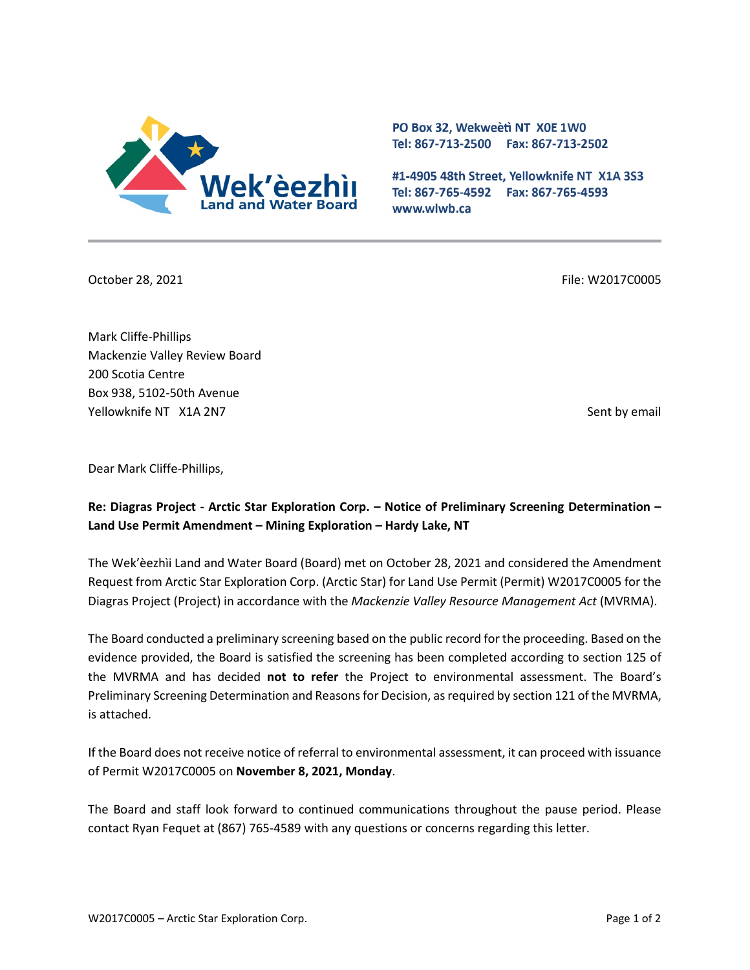

PO Box 32, Wekweeti NT X0E 1W0 Tel: 867-713-2500 Fax: 867-713-2502

#1-4905 48th Street, Yellowknife NT X1A 3S3 Tel: 867-765-4592 Fax: 867-765-4593 www.wlwb.ca

October 28, 2021 **File: W2017C0005** File: W2017C0005

Mark Cliffe-Phillips Mackenzie Valley Review Board 200 Scotia Centre Box 938, 5102-50th Avenue Yellowknife NT X1A 2N7 Sent by email and the sent by email sent by email sent by email sent by email sent by email

Dear Mark Cliffe-Phillips,

# **Re: Diagras Project - Arctic Star Exploration Corp. – Notice of Preliminary Screening Determination – Land Use Permit Amendment – Mining Exploration – Hardy Lake, NT**

The Wek'èezhìi Land and Water Board (Board) met on October 28, 2021 and considered the Amendment Request from Arctic Star Exploration Corp. (Arctic Star) for Land Use Permit (Permit) W2017C0005 for the Diagras Project (Project) in accordance with the *Mackenzie Valley Resource Management Act* (MVRMA).

The Board conducted a preliminary screening based on the public record for the proceeding. Based on the evidence provided, the Board is satisfied the screening has been completed according to section 125 of the MVRMA and has decided **not to refer** the Project to environmental assessment. The Board's Preliminary Screening Determination and Reasons for Decision, as required by section 121 of the MVRMA, is attached.

If the Board does not receive notice of referral to environmental assessment, it can proceed with issuance of Permit W2017C0005 on **November 8, 2021, Monday**.

The Board and staff look forward to continued communications throughout the pause period. Please contact Ryan Fequet at (867) 765-4589 with any questions or concerns regarding this letter.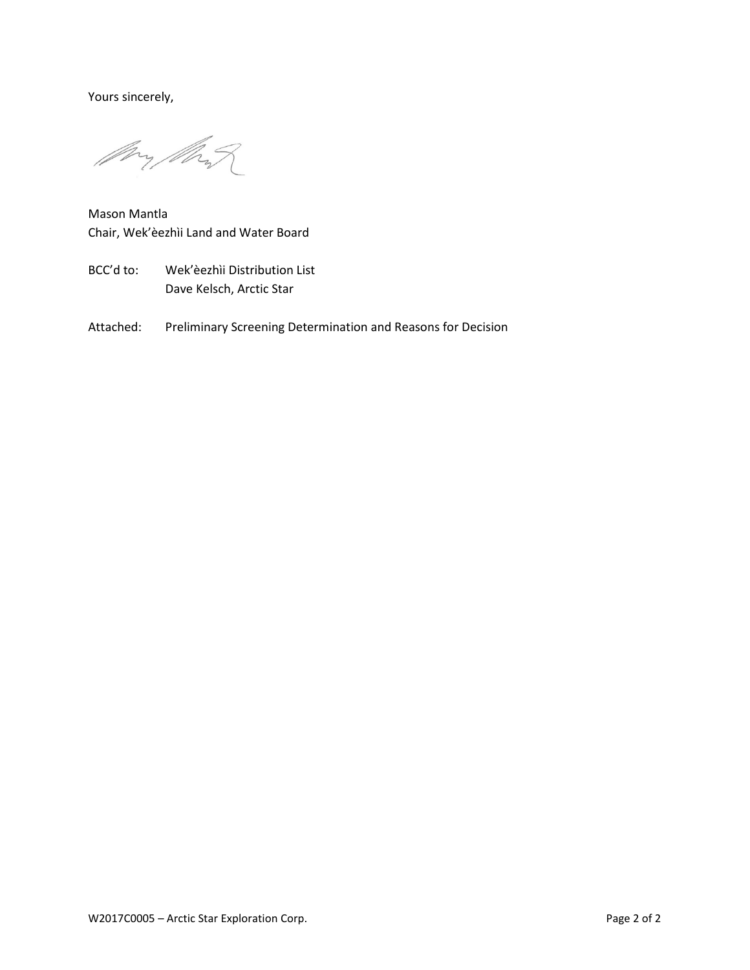Yours sincerely,

Mry Mart

Mason Mantla Chair, Wek'èezhìi Land and Water Board

- BCC'd to: Wek'èezhìi Distribution List Dave Kelsch, Arctic Star
- Attached: Preliminary Screening Determination and Reasons for Decision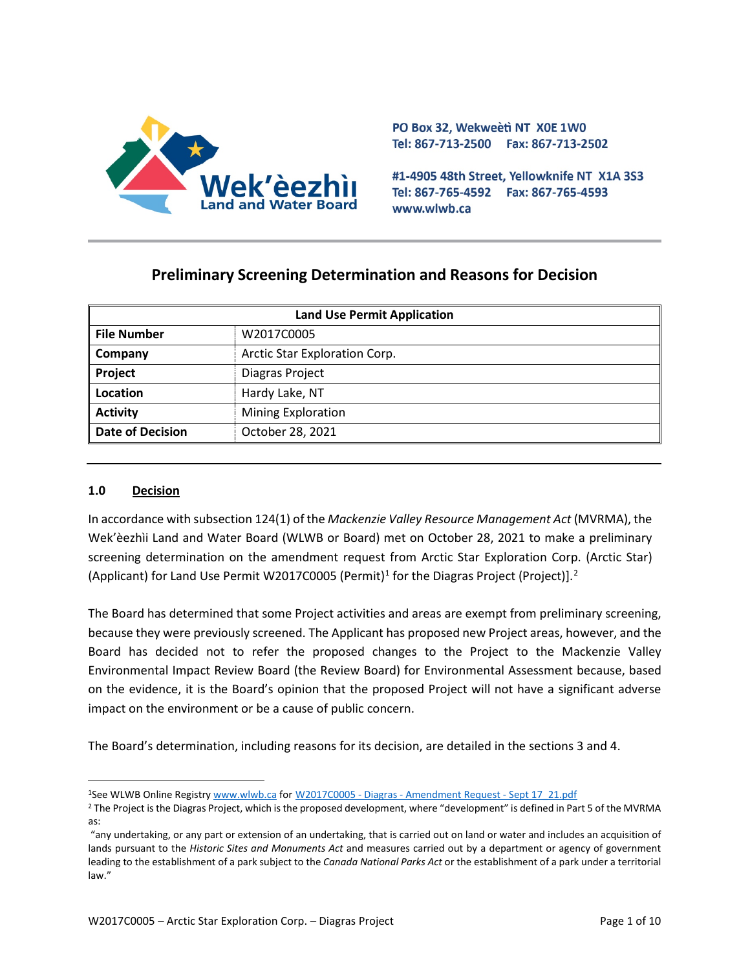

PO Box 32, Wekweeti NT X0E 1W0 Tel: 867-713-2500 Fax: 867-713-2502

#1-4905 48th Street, Yellowknife NT X1A 3S3 Tel: 867-765-4592 Fax: 867-765-4593 www.wlwb.ca

# **Preliminary Screening Determination and Reasons for Decision**

| <b>Land Use Permit Application</b> |                               |  |
|------------------------------------|-------------------------------|--|
| <b>File Number</b>                 | W2017C0005                    |  |
| Company                            | Arctic Star Exploration Corp. |  |
| Project                            | Diagras Project               |  |
| Location                           | Hardy Lake, NT                |  |
| <b>Activity</b>                    | <b>Mining Exploration</b>     |  |
| <b>Date of Decision</b>            | October 28, 2021              |  |

### **1.0 Decision**

In accordance with subsection 124(1) of the *Mackenzie Valley Resource Management Act* (MVRMA), the Wek'èezhìi Land and Water Board (WLWB or Board) met on October 28, 2021 to make a preliminary screening determination on the amendment request from Arctic Star Exploration Corp. (Arctic Star) (Applicant) for Land Use Permit W20[1](#page-2-0)7C0005 (Permit)<sup>1</sup> for the Diagras Project (Project)].<sup>[2](#page-2-1)</sup>

The Board has determined that some Project activities and areas are exempt from preliminary screening, because they were previously screened. The Applicant has proposed new Project areas, however, and the Board has decided not to refer the proposed changes to the Project to the Mackenzie Valley Environmental Impact Review Board (the Review Board) for Environmental Assessment because, based on the evidence, it is the Board's opinion that the proposed Project will not have a significant adverse impact on the environment or be a cause of public concern.

The Board's determination, including reasons for its decision, are detailed in the sections 3 and 4.

<span id="page-2-0"></span><sup>1</sup>See WLWB Online Registr[y www.wlwb.ca](https://wlwb.ca/) for W2017C0005 - Diagras - [Amendment Request -](https://registry.mvlwb.ca/Documents/W2017C0005/W2017C0005%20-%20Diagras%20-%20Amendment%20Request%20-%20Sept%2017_21.pdf) Sept 17\_21.pdf

<span id="page-2-1"></span><sup>&</sup>lt;sup>2</sup> The Project is the Diagras Project, which is the proposed development, where "development" is defined in Part 5 of the MVRMA as:

<sup>&</sup>quot;any undertaking, or any part or extension of an undertaking, that is carried out on land or water and includes an acquisition of lands pursuant to the *Historic Sites and Monuments Act* and measures carried out by a department or agency of government leading to the establishment of a park subject to the *Canada National Parks Act* or the establishment of a park under a territorial law."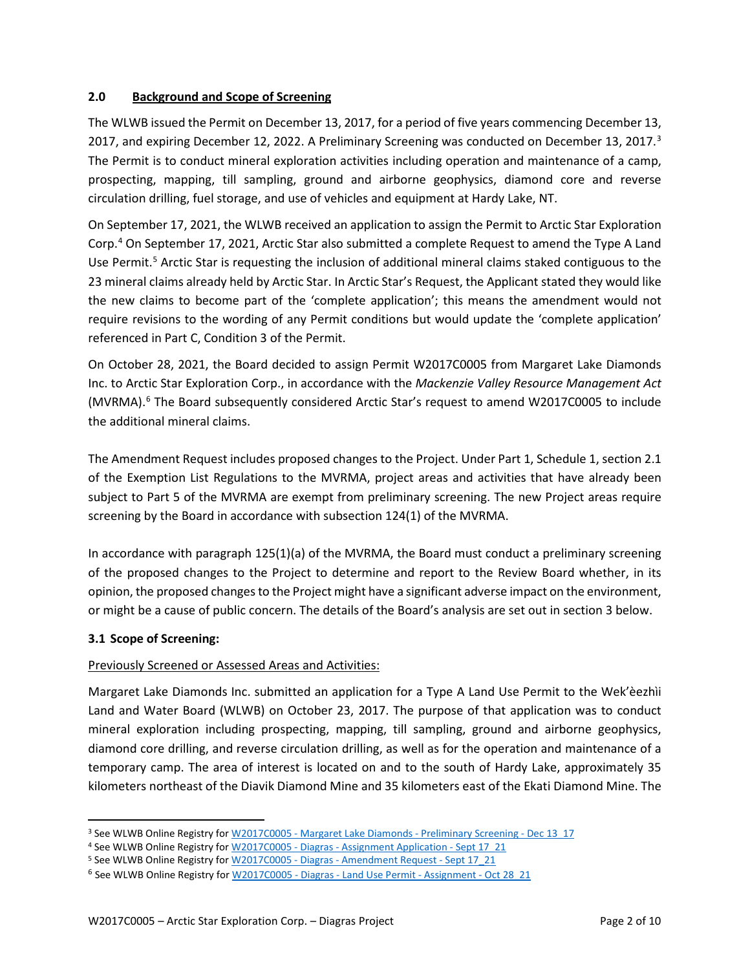### **2.0 Background and Scope of Screening**

The WLWB issued the Permit on December 13, 2017, for a period of five years commencing December 13, 2017, and expiring December 12, 2022. A Preliminary Screening was conducted on December 1[3](#page-3-0), 2017.<sup>3</sup> The Permit is to conduct mineral exploration activities including operation and maintenance of a camp, prospecting, mapping, till sampling, ground and airborne geophysics, diamond core and reverse circulation drilling, fuel storage, and use of vehicles and equipment at Hardy Lake, NT.

On September 17, 2021, the WLWB received an application to assign the Permit to Arctic Star Exploration Corp.[4](#page-3-1) On September 17, 2021, Arctic Star also submitted a complete Request to amend the Type A Land Use Permit.<sup>[5](#page-3-2)</sup> Arctic Star is requesting the inclusion of additional mineral claims staked contiguous to the 23 mineral claims already held by Arctic Star. In Arctic Star's Request, the Applicant stated they would like the new claims to become part of the 'complete application'; this means the amendment would not require revisions to the wording of any Permit conditions but would update the 'complete application' referenced in Part C, Condition 3 of the Permit.

On October 28, 2021, the Board decided to assign Permit W2017C0005 from Margaret Lake Diamonds Inc. to Arctic Star Exploration Corp., in accordance with the *Mackenzie Valley Resource Management Act*  (MVRMA).<sup>[6](#page-3-3)</sup> The Board subsequently considered Arctic Star's request to amend W2017C0005 to include the additional mineral claims.

The Amendment Request includes proposed changes to the Project. Under Part 1, Schedule 1, section 2.1 of the Exemption List Regulations to the MVRMA, project areas and activities that have already been subject to Part 5 of the MVRMA are exempt from preliminary screening. The new Project areas require screening by the Board in accordance with subsection 124(1) of the MVRMA.

In accordance with paragraph 125(1)(a) of the MVRMA, the Board must conduct a preliminary screening of the proposed changes to the Project to determine and report to the Review Board whether, in its opinion, the proposed changes to the Project might have a significant adverse impact on the environment, or might be a cause of public concern. The details of the Board's analysis are set out in section 3 below.

## **3.1 Scope of Screening:**

## Previously Screened or Assessed Areas and Activities:

Margaret Lake Diamonds Inc. submitted an application for a Type A Land Use Permit to the Wek'èezhìi Land and Water Board (WLWB) on October 23, 2017. The purpose of that application was to conduct mineral exploration including prospecting, mapping, till sampling, ground and airborne geophysics, diamond core drilling, and reverse circulation drilling, as well as for the operation and maintenance of a temporary camp. The area of interest is located on and to the south of Hardy Lake, approximately 35 kilometers northeast of the Diavik Diamond Mine and 35 kilometers east of the Ekati Diamond Mine. The

<span id="page-3-0"></span><sup>&</sup>lt;sup>3</sup> See WLWB Online Registry for W2017C0005 - [Margaret Lake Diamonds -](http://registry.mvlwb.ca/Documents/W2017C0005/W2017C0005%20-%20Margaret%20Lake%20Diamonds%20-%20Preliminary%20Screening%20-%20Dec%2013_17.pdf) Preliminary Screening - Dec 13\_17

<span id="page-3-1"></span><sup>4</sup> See WLWB Online Registry for W2017C0005 - Diagras - [Assignment Application -](http://registry.mvlwb.ca/Documents/W2017C0005/W2017C0005%20-%20Diagras%20-%20Assignment%20Application%20-%20Sept%2017_21.pdf) Sept 17\_21

<span id="page-3-2"></span><sup>5</sup> See WLWB Online Registry for W2017C0005 - Diagras - [Amendment Request -](http://registry.mvlwb.ca/Documents/W2017C0005/W2017C0005%20-%20Diagras%20-%20Amendment%20Request%20-%20Sept%2017_21.pdf) Sept 17\_21

<span id="page-3-3"></span><sup>&</sup>lt;sup>6</sup> See WLWB Online Registry for W2017C0005 - Diagras - [Land Use Permit -](http://registry.mvlwb.ca/Documents/W2017C0005/W2017C0005%20-%20Diagras%20-%20Land%20Use%20Permit%20-%20Assignment%20-%20Oct%2028_21.pdf) Assignment - Oct 28 21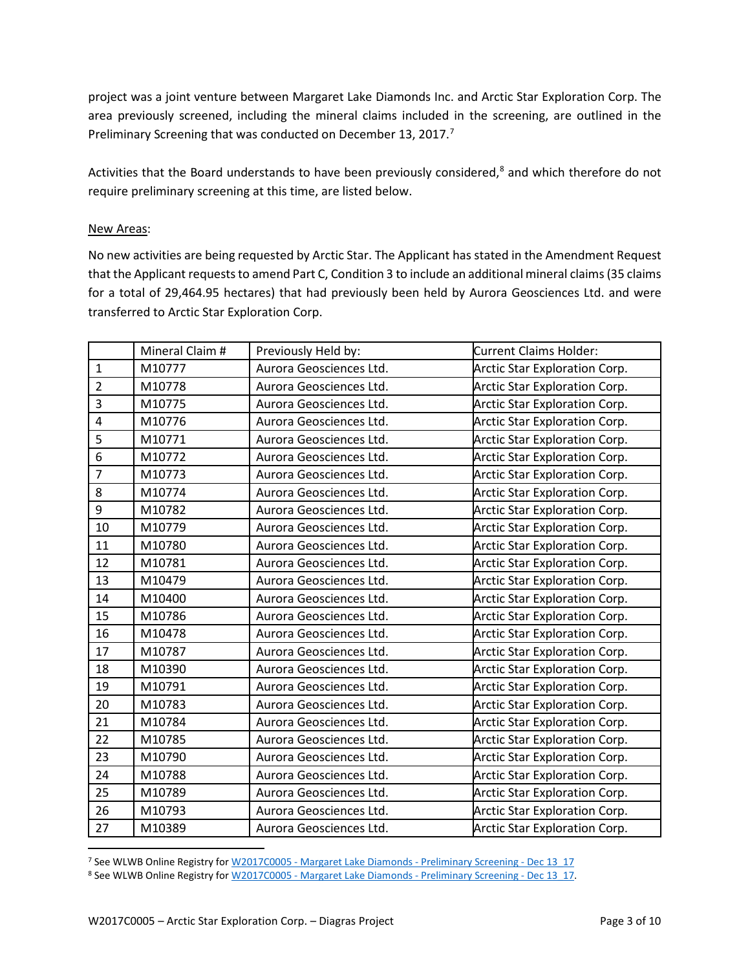project was a joint venture between Margaret Lake Diamonds Inc. and Arctic Star Exploration Corp. The area previously screened, including the mineral claims included in the screening, are outlined in the Preliminary Screening that was conducted on December 13, 2017.<sup>7</sup>

Activities that the Board understands to have been previously considered, and which therefore do not require preliminary screening at this time, are listed below.

#### New Areas:

No new activities are being requested by Arctic Star. The Applicant has stated in the Amendment Request that the Applicant requests to amend Part C, Condition 3 to include an additional mineral claims (35 claims for a total of 29,464.95 hectares) that had previously been held by Aurora Geosciences Ltd. and were transferred to Arctic Star Exploration Corp.

|                | Mineral Claim # | Previously Held by:     | Current Claims Holder:               |
|----------------|-----------------|-------------------------|--------------------------------------|
| $\mathbf{1}$   | M10777          | Aurora Geosciences Ltd. | <b>Arctic Star Exploration Corp.</b> |
| $\overline{2}$ | M10778          | Aurora Geosciences Ltd. | Arctic Star Exploration Corp.        |
| 3              | M10775          | Aurora Geosciences Ltd. | Arctic Star Exploration Corp.        |
| $\pmb{4}$      | M10776          | Aurora Geosciences Ltd. | <b>Arctic Star Exploration Corp.</b> |
| 5              | M10771          | Aurora Geosciences Ltd. | Arctic Star Exploration Corp.        |
| 6              | M10772          | Aurora Geosciences Ltd. | <b>Arctic Star Exploration Corp.</b> |
| $\overline{7}$ | M10773          | Aurora Geosciences Ltd. | <b>Arctic Star Exploration Corp.</b> |
| 8              | M10774          | Aurora Geosciences Ltd. | Arctic Star Exploration Corp.        |
| 9              | M10782          | Aurora Geosciences Ltd. | Arctic Star Exploration Corp.        |
| 10             | M10779          | Aurora Geosciences Ltd. | <b>Arctic Star Exploration Corp.</b> |
| 11             | M10780          | Aurora Geosciences Ltd. | <b>Arctic Star Exploration Corp.</b> |
| 12             | M10781          | Aurora Geosciences Ltd. | <b>Arctic Star Exploration Corp.</b> |
| 13             | M10479          | Aurora Geosciences Ltd. | Arctic Star Exploration Corp.        |
| 14             | M10400          | Aurora Geosciences Ltd. | Arctic Star Exploration Corp.        |
| 15             | M10786          | Aurora Geosciences Ltd. | <b>Arctic Star Exploration Corp.</b> |
| 16             | M10478          | Aurora Geosciences Ltd. | <b>Arctic Star Exploration Corp.</b> |
| 17             | M10787          | Aurora Geosciences Ltd. | <b>Arctic Star Exploration Corp.</b> |
| 18             | M10390          | Aurora Geosciences Ltd. | <b>Arctic Star Exploration Corp.</b> |
| 19             | M10791          | Aurora Geosciences Ltd. | Arctic Star Exploration Corp.        |
| 20             | M10783          | Aurora Geosciences Ltd. | <b>Arctic Star Exploration Corp.</b> |
| 21             | M10784          | Aurora Geosciences Ltd. | <b>Arctic Star Exploration Corp.</b> |
| 22             | M10785          | Aurora Geosciences Ltd. | Arctic Star Exploration Corp.        |
| 23             | M10790          | Aurora Geosciences Ltd. | Arctic Star Exploration Corp.        |
| 24             | M10788          | Aurora Geosciences Ltd. | Arctic Star Exploration Corp.        |
| 25             | M10789          | Aurora Geosciences Ltd. | <b>Arctic Star Exploration Corp.</b> |
| 26             | M10793          | Aurora Geosciences Ltd. | Arctic Star Exploration Corp.        |
| 27             | M10389          | Aurora Geosciences Ltd. | <b>Arctic Star Exploration Corp.</b> |

<span id="page-4-0"></span>See WLWB Online Registry for W2017C0005 - [Margaret Lake Diamonds -](http://registry.mvlwb.ca/Documents/W2017C0005/W2017C0005%20-%20Margaret%20Lake%20Diamonds%20-%20Preliminary%20Screening%20-%20Dec%2013_17.pdf) Preliminary Screening - Dec 13\_17

<span id="page-4-1"></span>8 See WLWB Online Registry for W2017C0005 - [Margaret Lake Diamonds -](http://registry.mvlwb.ca/Documents/W2017C0005/W2017C0005%20-%20Margaret%20Lake%20Diamonds%20-%20Preliminary%20Screening%20-%20Dec%2013_17.pdf) Preliminary Screening - Dec 13\_17.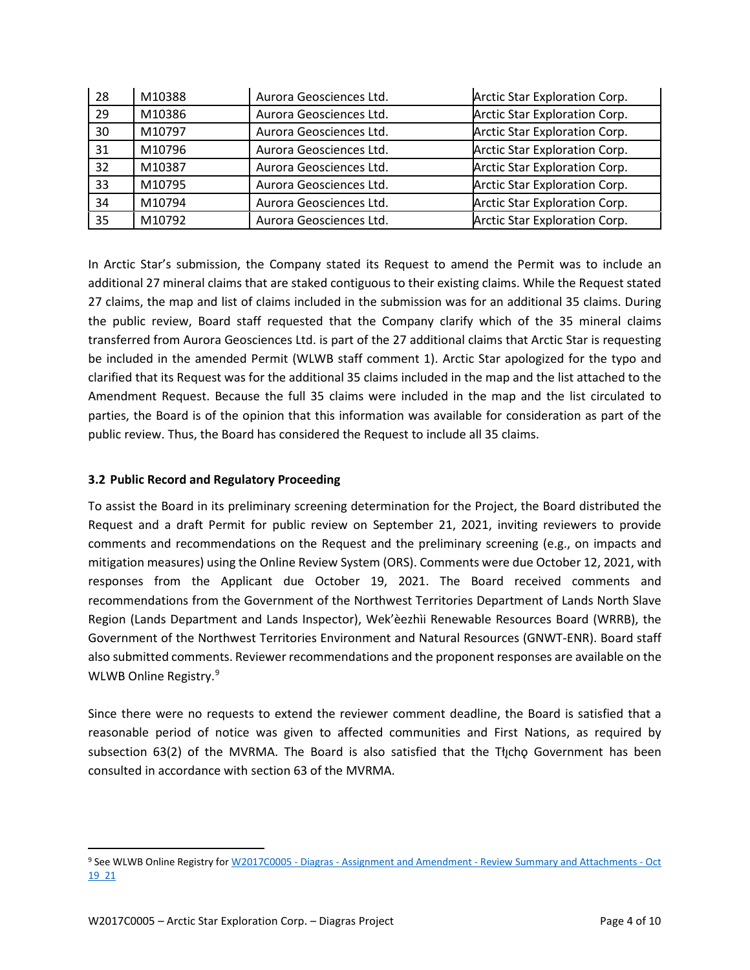| 28 | M10388 | Aurora Geosciences Ltd. | Arctic Star Exploration Corp. |
|----|--------|-------------------------|-------------------------------|
| 29 | M10386 | Aurora Geosciences Ltd. | Arctic Star Exploration Corp. |
| 30 | M10797 | Aurora Geosciences Ltd. | Arctic Star Exploration Corp. |
| 31 | M10796 | Aurora Geosciences Ltd. | Arctic Star Exploration Corp. |
| 32 | M10387 | Aurora Geosciences Ltd. | Arctic Star Exploration Corp. |
| 33 | M10795 | Aurora Geosciences Ltd. | Arctic Star Exploration Corp. |
| 34 | M10794 | Aurora Geosciences Ltd. | Arctic Star Exploration Corp. |
| 35 | M10792 | Aurora Geosciences Ltd. | Arctic Star Exploration Corp. |

In Arctic Star's submission, the Company stated its Request to amend the Permit was to include an additional 27 mineral claims that are staked contiguous to their existing claims. While the Request stated 27 claims, the map and list of claims included in the submission was for an additional 35 claims. During the public review, Board staff requested that the Company clarify which of the 35 mineral claims transferred from Aurora Geosciences Ltd. is part of the 27 additional claims that Arctic Star is requesting be included in the amended Permit (WLWB staff comment 1). Arctic Star apologized for the typo and clarified that its Request was for the additional 35 claims included in the map and the list attached to the Amendment Request. Because the full 35 claims were included in the map and the list circulated to parties, the Board is of the opinion that this information was available for consideration as part of the public review. Thus, the Board has considered the Request to include all 35 claims.

### **3.2 Public Record and Regulatory Proceeding**

To assist the Board in its preliminary screening determination for the Project, the Board distributed the Request and a draft Permit for public review on September 21, 2021, inviting reviewers to provide comments and recommendations on the Request and the preliminary screening (e.g., on impacts and mitigation measures) using the Online Review System (ORS). Comments were due October 12, 2021, with responses from the Applicant due October 19, 2021. The Board received comments and recommendations from the Government of the Northwest Territories Department of Lands North Slave Region (Lands Department and Lands Inspector), Wek'èezhìi Renewable Resources Board (WRRB), the Government of the Northwest Territories Environment and Natural Resources (GNWT-ENR). Board staff also submitted comments. Reviewer recommendations and the proponent responses are available on the WLWB Online Registry.<sup>[9](#page-5-0)</sup>

Since there were no requests to extend the reviewer comment deadline, the Board is satisfied that a reasonable period of notice was given to affected communities and First Nations, as required by subsection 63(2) of the MVRMA. The Board is also satisfied that the Tłycho Government has been consulted in accordance with section 63 of the MVRMA.

<span id="page-5-0"></span><sup>9</sup> See WLWB Online Registry for W2017C0005 - Diagras - Assignment and Amendment - [Review Summary and Attachments -](http://registry.mvlwb.ca/Documents/W2017C0005/W2017C0005%20-%20Diagras%20-%20Assignment%20and%20Amendment%20-%20Review%20Summary%20and%20Attachments%20-%20Oct%2019_21.pdf) Oct [19\\_21](http://registry.mvlwb.ca/Documents/W2017C0005/W2017C0005%20-%20Diagras%20-%20Assignment%20and%20Amendment%20-%20Review%20Summary%20and%20Attachments%20-%20Oct%2019_21.pdf)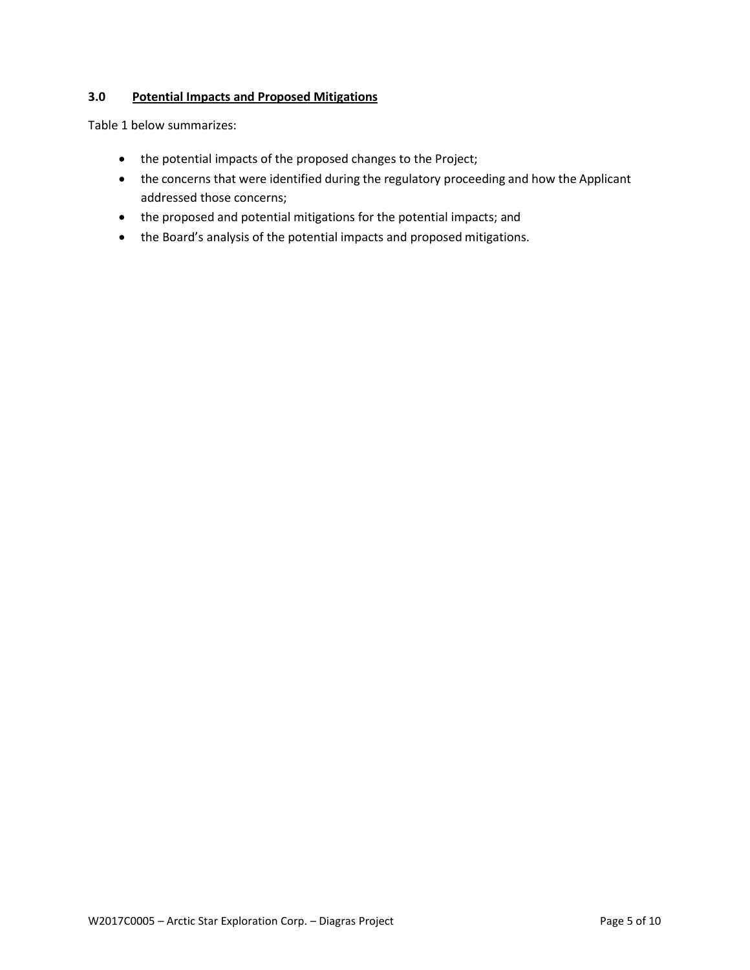## **3.0 Potential Impacts and Proposed Mitigations**

Table 1 below summarizes:

- the potential impacts of the proposed changes to the Project;
- the concerns that were identified during the regulatory proceeding and how the Applicant addressed those concerns;
- the proposed and potential mitigations for the potential impacts; and
- the Board's analysis of the potential impacts and proposed mitigations.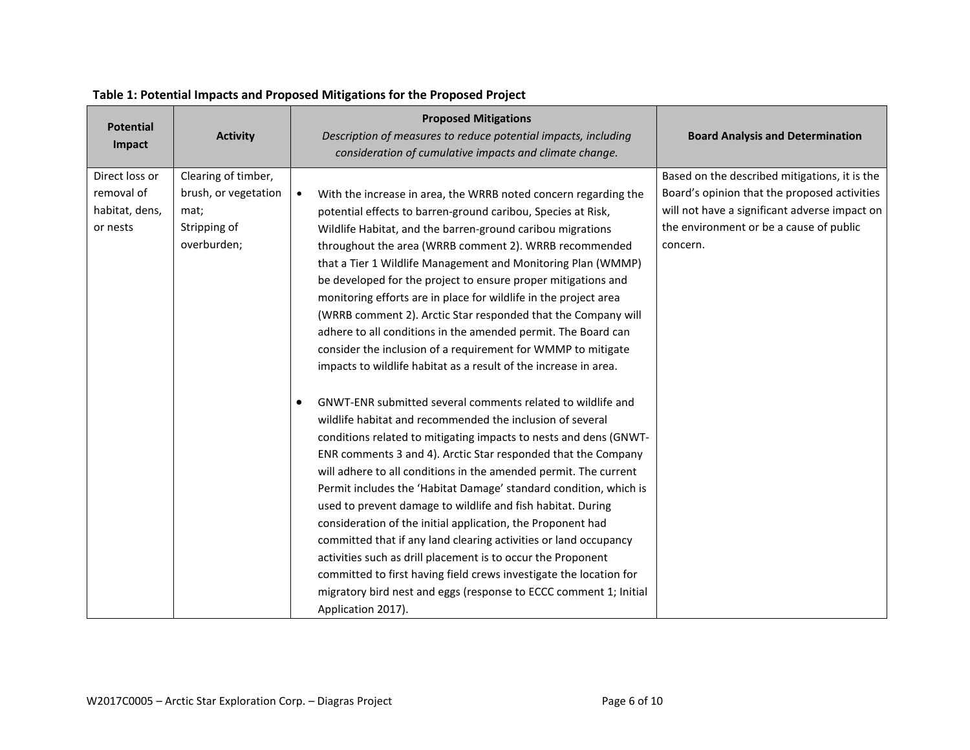| <b>Potential</b><br>Impact | <b>Activity</b>      | <b>Proposed Mitigations</b><br>Description of measures to reduce potential impacts, including<br>consideration of cumulative impacts and climate change. | <b>Board Analysis and Determination</b>       |
|----------------------------|----------------------|----------------------------------------------------------------------------------------------------------------------------------------------------------|-----------------------------------------------|
| Direct loss or             | Clearing of timber,  |                                                                                                                                                          | Based on the described mitigations, it is the |
| removal of                 | brush, or vegetation | With the increase in area, the WRRB noted concern regarding the<br>$\bullet$                                                                             | Board's opinion that the proposed activities  |
| habitat, dens,             | mat;                 | potential effects to barren-ground caribou, Species at Risk,                                                                                             | will not have a significant adverse impact on |
| or nests                   | Stripping of         | Wildlife Habitat, and the barren-ground caribou migrations                                                                                               | the environment or be a cause of public       |
|                            | overburden;          | throughout the area (WRRB comment 2). WRRB recommended                                                                                                   | concern.                                      |
|                            |                      | that a Tier 1 Wildlife Management and Monitoring Plan (WMMP)                                                                                             |                                               |
|                            |                      | be developed for the project to ensure proper mitigations and                                                                                            |                                               |
|                            |                      | monitoring efforts are in place for wildlife in the project area                                                                                         |                                               |
|                            |                      | (WRRB comment 2). Arctic Star responded that the Company will                                                                                            |                                               |
|                            |                      | adhere to all conditions in the amended permit. The Board can                                                                                            |                                               |
|                            |                      | consider the inclusion of a requirement for WMMP to mitigate                                                                                             |                                               |
|                            |                      | impacts to wildlife habitat as a result of the increase in area.                                                                                         |                                               |
|                            |                      | GNWT-ENR submitted several comments related to wildlife and                                                                                              |                                               |
|                            |                      | wildlife habitat and recommended the inclusion of several                                                                                                |                                               |
|                            |                      | conditions related to mitigating impacts to nests and dens (GNWT-                                                                                        |                                               |
|                            |                      | ENR comments 3 and 4). Arctic Star responded that the Company                                                                                            |                                               |
|                            |                      | will adhere to all conditions in the amended permit. The current                                                                                         |                                               |
|                            |                      | Permit includes the 'Habitat Damage' standard condition, which is                                                                                        |                                               |
|                            |                      | used to prevent damage to wildlife and fish habitat. During                                                                                              |                                               |
|                            |                      | consideration of the initial application, the Proponent had                                                                                              |                                               |
|                            |                      | committed that if any land clearing activities or land occupancy                                                                                         |                                               |
|                            |                      | activities such as drill placement is to occur the Proponent                                                                                             |                                               |
|                            |                      | committed to first having field crews investigate the location for                                                                                       |                                               |
|                            |                      | migratory bird nest and eggs (response to ECCC comment 1; Initial                                                                                        |                                               |
|                            |                      | Application 2017).                                                                                                                                       |                                               |

# **Table 1: Potential Impacts and Proposed Mitigations for the Proposed Project**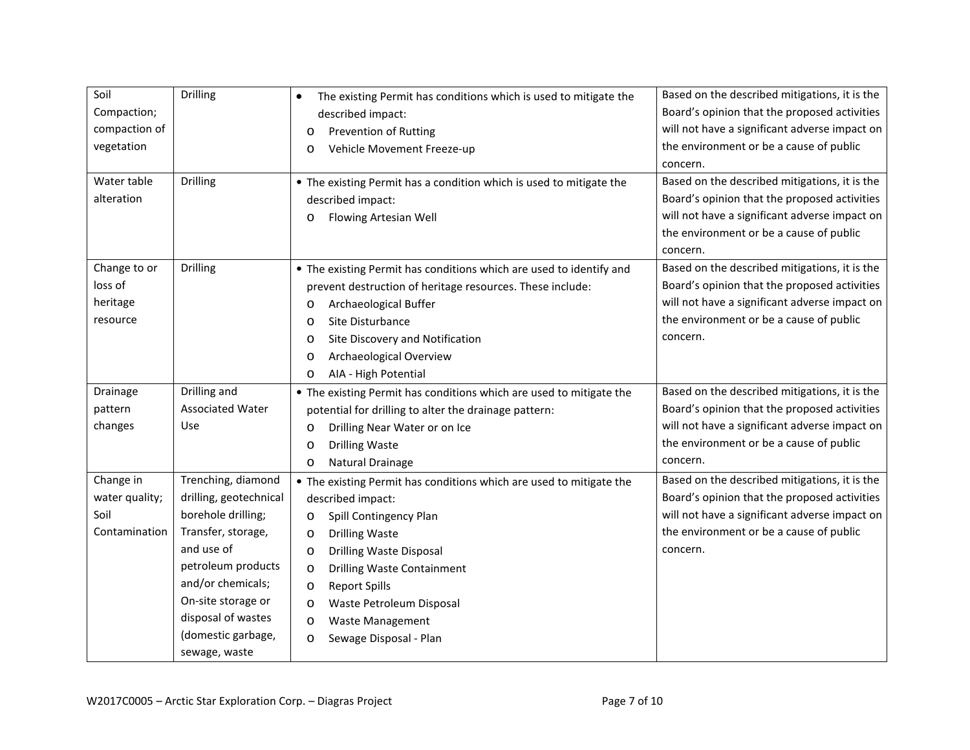| Soil<br>Compaction;<br>compaction of<br>vegetation<br>Water table<br>alteration | Drilling<br><b>Drilling</b>              | The existing Permit has conditions which is used to mitigate the<br>described impact:<br><b>Prevention of Rutting</b><br>$\circ$<br>Vehicle Movement Freeze-up<br>$\circ$<br>• The existing Permit has a condition which is used to mitigate the<br>described impact:<br>Flowing Artesian Well<br>$\circ$            | Based on the described mitigations, it is the<br>Board's opinion that the proposed activities<br>will not have a significant adverse impact on<br>the environment or be a cause of public<br>concern.<br>Based on the described mitigations, it is the<br>Board's opinion that the proposed activities<br>will not have a significant adverse impact on<br>the environment or be a cause of public<br>concern. |
|---------------------------------------------------------------------------------|------------------------------------------|----------------------------------------------------------------------------------------------------------------------------------------------------------------------------------------------------------------------------------------------------------------------------------------------------------------------|----------------------------------------------------------------------------------------------------------------------------------------------------------------------------------------------------------------------------------------------------------------------------------------------------------------------------------------------------------------------------------------------------------------|
| Change to or<br>loss of<br>heritage<br>resource                                 | <b>Drilling</b>                          | • The existing Permit has conditions which are used to identify and<br>prevent destruction of heritage resources. These include:<br>Archaeological Buffer<br>$\circ$<br>Site Disturbance<br>$\circ$<br>Site Discovery and Notification<br>$\circ$<br>Archaeological Overview<br>$\circ$<br>AIA - High Potential<br>O | Based on the described mitigations, it is the<br>Board's opinion that the proposed activities<br>will not have a significant adverse impact on<br>the environment or be a cause of public<br>concern.                                                                                                                                                                                                          |
| Drainage                                                                        | Drilling and                             | • The existing Permit has conditions which are used to mitigate the                                                                                                                                                                                                                                                  | Based on the described mitigations, it is the                                                                                                                                                                                                                                                                                                                                                                  |
| pattern                                                                         | <b>Associated Water</b>                  | potential for drilling to alter the drainage pattern:                                                                                                                                                                                                                                                                | Board's opinion that the proposed activities                                                                                                                                                                                                                                                                                                                                                                   |
| changes                                                                         | Use                                      | Drilling Near Water or on Ice<br>$\circ$                                                                                                                                                                                                                                                                             | will not have a significant adverse impact on                                                                                                                                                                                                                                                                                                                                                                  |
|                                                                                 |                                          | <b>Drilling Waste</b><br>$\circ$                                                                                                                                                                                                                                                                                     | the environment or be a cause of public                                                                                                                                                                                                                                                                                                                                                                        |
|                                                                                 |                                          | Natural Drainage<br>O                                                                                                                                                                                                                                                                                                | concern.                                                                                                                                                                                                                                                                                                                                                                                                       |
| Change in                                                                       | Trenching, diamond                       | • The existing Permit has conditions which are used to mitigate the                                                                                                                                                                                                                                                  | Based on the described mitigations, it is the                                                                                                                                                                                                                                                                                                                                                                  |
| water quality;                                                                  | drilling, geotechnical                   | described impact:                                                                                                                                                                                                                                                                                                    | Board's opinion that the proposed activities                                                                                                                                                                                                                                                                                                                                                                   |
| Soil                                                                            | borehole drilling;                       | Spill Contingency Plan<br>$\circ$                                                                                                                                                                                                                                                                                    | will not have a significant adverse impact on                                                                                                                                                                                                                                                                                                                                                                  |
| Contamination                                                                   | Transfer, storage,                       | <b>Drilling Waste</b><br>$\circ$                                                                                                                                                                                                                                                                                     | the environment or be a cause of public                                                                                                                                                                                                                                                                                                                                                                        |
|                                                                                 | and use of                               | Drilling Waste Disposal<br>$\circ$                                                                                                                                                                                                                                                                                   | concern.                                                                                                                                                                                                                                                                                                                                                                                                       |
|                                                                                 | petroleum products                       | <b>Drilling Waste Containment</b><br>$\circ$                                                                                                                                                                                                                                                                         |                                                                                                                                                                                                                                                                                                                                                                                                                |
|                                                                                 | and/or chemicals;                        | <b>Report Spills</b><br>$\circ$                                                                                                                                                                                                                                                                                      |                                                                                                                                                                                                                                                                                                                                                                                                                |
|                                                                                 | On-site storage or                       | Waste Petroleum Disposal<br>O                                                                                                                                                                                                                                                                                        |                                                                                                                                                                                                                                                                                                                                                                                                                |
|                                                                                 | disposal of wastes<br>(domestic garbage, | Waste Management<br>$\circ$                                                                                                                                                                                                                                                                                          |                                                                                                                                                                                                                                                                                                                                                                                                                |
|                                                                                 | sewage, waste                            | Sewage Disposal - Plan<br>$\circ$                                                                                                                                                                                                                                                                                    |                                                                                                                                                                                                                                                                                                                                                                                                                |
|                                                                                 |                                          |                                                                                                                                                                                                                                                                                                                      |                                                                                                                                                                                                                                                                                                                                                                                                                |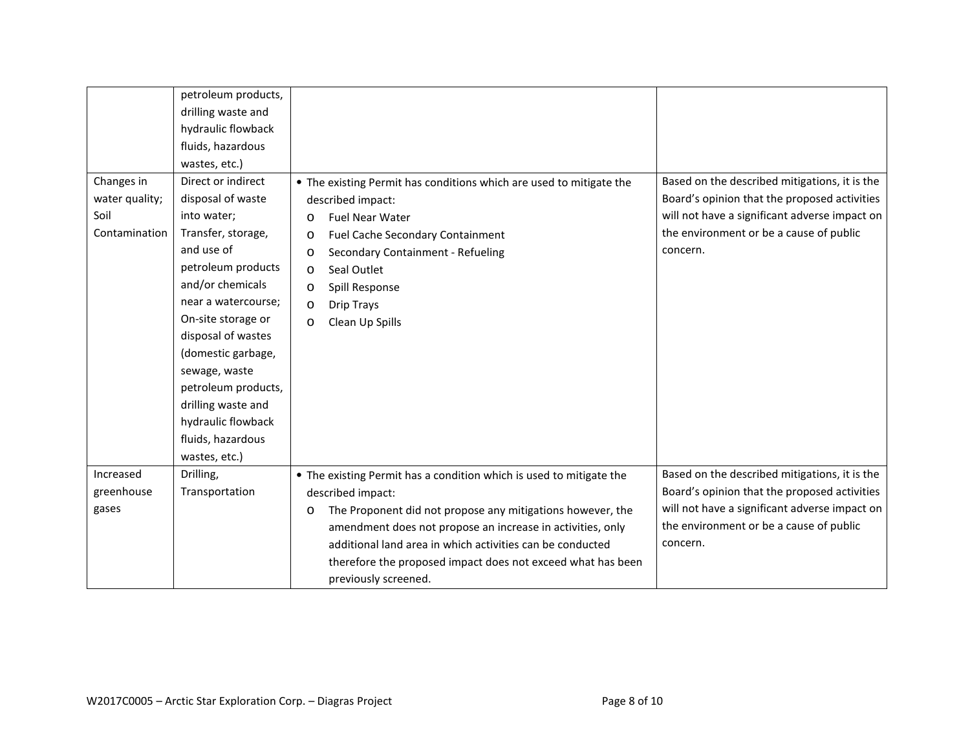|                | petroleum products, |                                                                       |                                               |
|----------------|---------------------|-----------------------------------------------------------------------|-----------------------------------------------|
|                | drilling waste and  |                                                                       |                                               |
|                | hydraulic flowback  |                                                                       |                                               |
|                | fluids, hazardous   |                                                                       |                                               |
|                | wastes, etc.)       |                                                                       |                                               |
| Changes in     | Direct or indirect  | • The existing Permit has conditions which are used to mitigate the   | Based on the described mitigations, it is the |
| water quality; | disposal of waste   | described impact:                                                     | Board's opinion that the proposed activities  |
| Soil           | into water;         | <b>Fuel Near Water</b><br>$\circ$                                     | will not have a significant adverse impact on |
| Contamination  | Transfer, storage,  | Fuel Cache Secondary Containment<br>O                                 | the environment or be a cause of public       |
|                | and use of          | Secondary Containment - Refueling<br>O                                | concern.                                      |
|                | petroleum products  | Seal Outlet<br>$\circ$                                                |                                               |
|                | and/or chemicals    | Spill Response<br>$\circ$                                             |                                               |
|                | near a watercourse; | <b>Drip Trays</b><br>$\circ$                                          |                                               |
|                | On-site storage or  | Clean Up Spills<br>O                                                  |                                               |
|                | disposal of wastes  |                                                                       |                                               |
|                | (domestic garbage,  |                                                                       |                                               |
|                | sewage, waste       |                                                                       |                                               |
|                | petroleum products, |                                                                       |                                               |
|                | drilling waste and  |                                                                       |                                               |
|                | hydraulic flowback  |                                                                       |                                               |
|                | fluids, hazardous   |                                                                       |                                               |
|                | wastes, etc.)       |                                                                       |                                               |
| Increased      | Drilling,           | • The existing Permit has a condition which is used to mitigate the   | Based on the described mitigations, it is the |
| greenhouse     | Transportation      | described impact:                                                     | Board's opinion that the proposed activities  |
| gases          |                     | The Proponent did not propose any mitigations however, the<br>$\circ$ | will not have a significant adverse impact on |
|                |                     | amendment does not propose an increase in activities, only            | the environment or be a cause of public       |
|                |                     | additional land area in which activities can be conducted             | concern.                                      |
|                |                     | therefore the proposed impact does not exceed what has been           |                                               |
|                |                     | previously screened.                                                  |                                               |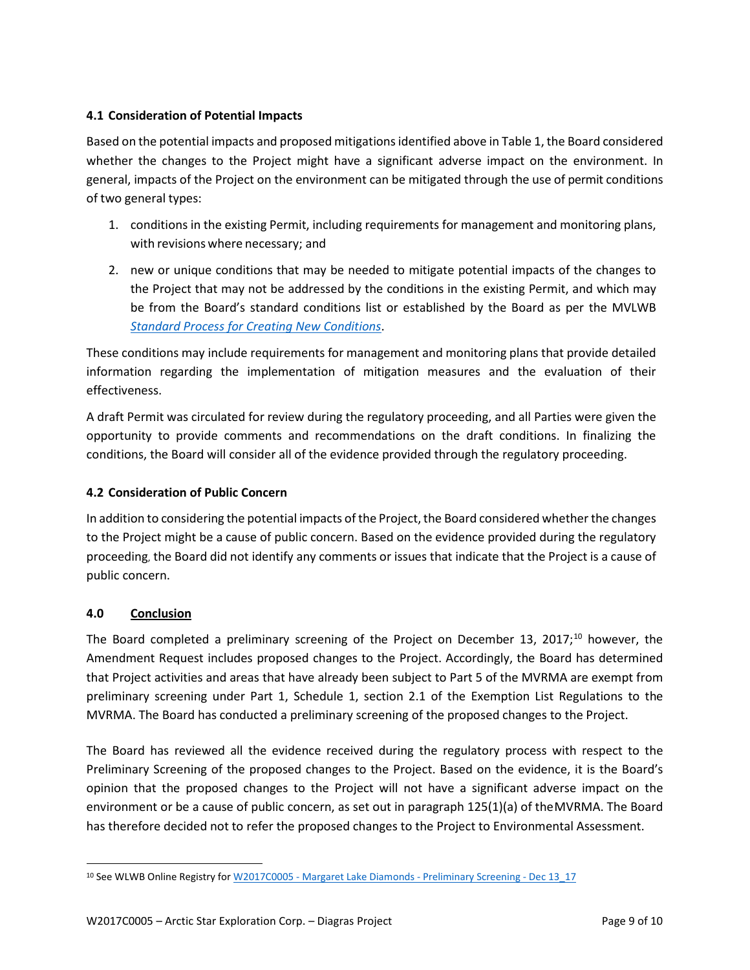## **4.1 Consideration of Potential Impacts**

Based on the potential impacts and proposed mitigationsidentified above in Table 1, the Board considered whether the changes to the Project might have a significant adverse impact on the environment. In general, impacts of the Project on the environment can be mitigated through the use of permit conditions of two general types:

- 1. conditions in the existing Permit, including requirements for management and monitoring plans, with revisions where necessary; and
- 2. new or unique conditions that may be needed to mitigate potential impacts of the changes to the Project that may not be addressed by the conditions in the existing Permit, and which may be from the Board's standard conditions list or established by the Board as per the MVLWB *[Standard Process for Creating New](https://mvlwb.com/sites/default/files/2021-07/LWB%20Standard%20Process%20for%20New%20Conditions%20-%20Jul%2019_21.pdf) Conditions*.

These conditions may include requirements for management and monitoring plans that provide detailed information regarding the implementation of mitigation measures and the evaluation of their effectiveness.

A draft Permit was circulated for review during the regulatory proceeding, and all Parties were given the opportunity to provide comments and recommendations on the draft conditions. In finalizing the conditions, the Board will consider all of the evidence provided through the regulatory proceeding.

## **4.2 Consideration of Public Concern**

In addition to considering the potential impacts of the Project, the Board considered whether the changes to the Project might be a cause of public concern. Based on the evidence provided during the regulatory proceeding, the Board did not identify any comments or issues that indicate that the Project is a cause of public concern.

## **4.0 Conclusion**

The Board completed a preliminary screening of the Project on December 13, 2017;<sup>[10](#page-10-0)</sup> however, the Amendment Request includes proposed changes to the Project. Accordingly, the Board has determined that Project activities and areas that have already been subject to Part 5 of the MVRMA are exempt from preliminary screening under Part 1, Schedule 1, section 2.1 of the Exemption List Regulations to the MVRMA. The Board has conducted a preliminary screening of the proposed changes to the Project.

The Board has reviewed all the evidence received during the regulatory process with respect to the Preliminary Screening of the proposed changes to the Project. Based on the evidence, it is the Board's opinion that the proposed changes to the Project will not have a significant adverse impact on the environment or be a cause of public concern, as set out in paragraph 125(1)(a) of theMVRMA. The Board has therefore decided not to refer the proposed changes to the Project to Environmental Assessment.

<span id="page-10-0"></span><sup>&</sup>lt;sup>10</sup> See WLWB Online Registry for W2017C0005 - [Margaret Lake Diamonds -](http://registry.mvlwb.ca/Documents/W2017C0005/W2017C0005%20-%20Margaret%20Lake%20Diamonds%20-%20Preliminary%20Screening%20-%20Dec%2013_17.pdf) Preliminary Screening - Dec 13\_17